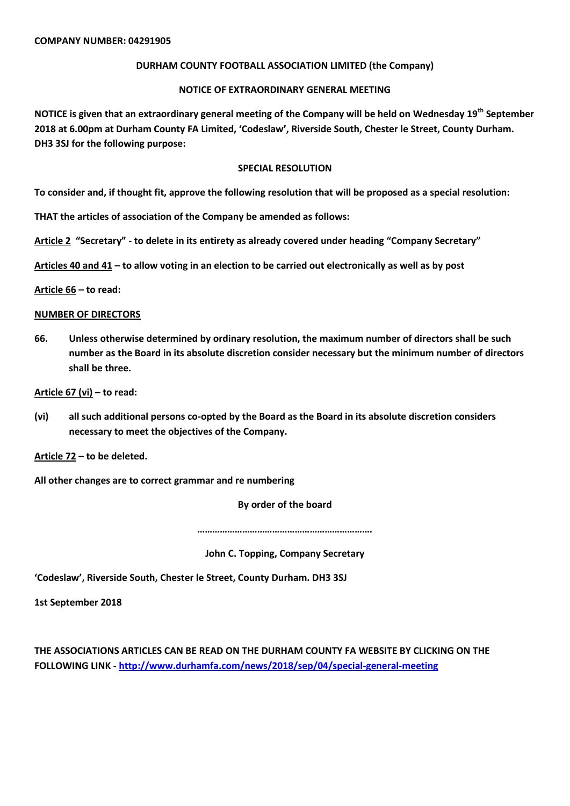## **DURHAM COUNTY FOOTBALL ASSOCIATION LIMITED (the Company)**

### **NOTICE OF EXTRAORDINARY GENERAL MEETING**

**NOTICE is given that an extraordinary general meeting of the Company will be held on Wednesday 19th September 2018 at 6.00pm at Durham County FA Limited, 'Codeslaw', Riverside South, Chester le Street, County Durham. DH3 3SJ for the following purpose:**

#### **SPECIAL RESOLUTION**

**To consider and, if thought fit, approve the following resolution that will be proposed as a special resolution:**

**THAT the articles of association of the Company be amended as follows:**

**Article 2 "Secretary" - to delete in its entirety as already covered under heading "Company Secretary"**

**Articles 40 and 41 – to allow voting in an election to be carried out electronically as well as by post**

**Article 66 – to read:**

#### **NUMBER OF DIRECTORS**

**66. Unless otherwise determined by ordinary resolution, the maximum number of directors shall be such number as the Board in its absolute discretion consider necessary but the minimum number of directors shall be three.**

**Article 67 (vi) – to read:**

**(vi) all such additional persons co-opted by the Board as the Board in its absolute discretion considers necessary to meet the objectives of the Company.** 

**Article 72 – to be deleted.**

**All other changes are to correct grammar and re numbering**

**By order of the board**

**…………………………………………………………….**

**John C. Topping, Company Secretary**

**'Codeslaw', Riverside South, Chester le Street, County Durham. DH3 3SJ** 

**1st September 2018**

**THE ASSOCIATIONS ARTICLES CAN BE READ ON THE DURHAM COUNTY FA WEBSITE BY CLICKING ON THE FOLLOWING LINK - <http://www.durhamfa.com/news/2018/sep/04/special-general-meeting>**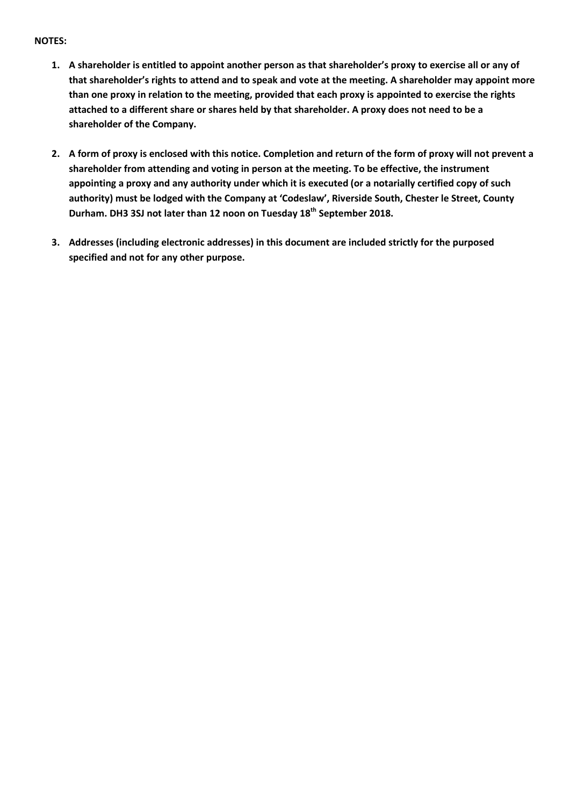# **NOTES:**

- **1. A shareholder is entitled to appoint another person as that shareholder's proxy to exercise all or any of that shareholder's rights to attend and to speak and vote at the meeting. A shareholder may appoint more than one proxy in relation to the meeting, provided that each proxy is appointed to exercise the rights attached to a different share or shares held by that shareholder. A proxy does not need to be a shareholder of the Company.**
- **2. A form of proxy is enclosed with this notice. Completion and return of the form of proxy will not prevent a shareholder from attending and voting in person at the meeting. To be effective, the instrument appointing a proxy and any authority under which it is executed (or a notarially certified copy of such authority) must be lodged with the Company at 'Codeslaw', Riverside South, Chester le Street, County Durham. DH3 3SJ not later than 12 noon on Tuesday 18th September 2018.**
- **3. Addresses (including electronic addresses) in this document are included strictly for the purposed specified and not for any other purpose.**